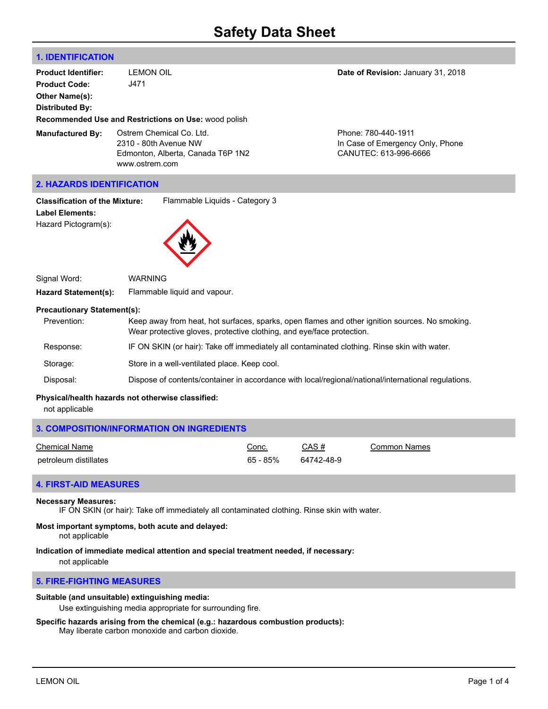# **1. IDENTIFICATION**

| <b>Product Identifier:</b>       | LEMON OIL                                                                                                | Date of Revision: January 31, 2018                                               |
|----------------------------------|----------------------------------------------------------------------------------------------------------|----------------------------------------------------------------------------------|
| <b>Product Code:</b>             | J471                                                                                                     |                                                                                  |
| <b>Other Name(s):</b>            |                                                                                                          |                                                                                  |
| <b>Distributed By:</b>           |                                                                                                          |                                                                                  |
|                                  | <b>Recommended Use and Restrictions on Use: wood polish</b>                                              |                                                                                  |
| <b>Manufactured By:</b>          | Ostrem Chemical Co. Ltd.<br>2310 - 80th Avenue NW<br>Edmonton, Alberta, Canada T6P 1N2<br>www.ostrem.com | Phone: 780-440-1911<br>In Case of Emergency Only, Phone<br>CANUTEC: 613-996-6666 |
| <b>2. HAZARDS IDENTIFICATION</b> |                                                                                                          |                                                                                  |

**Classification of the Mixture:** Flammable Liquids - Category 3 **Label Elements:** Hazard Pictogram(s):

| Signal Word:                | <b>WARNING</b>               |
|-----------------------------|------------------------------|
| <b>Hazard Statement(s):</b> | Flammable liquid and vapour. |

### **Precautionary Statement(s):**

| Prevention: | Keep away from heat, hot surfaces, sparks, open flames and other ignition sources. No smoking.<br>Wear protective gloves, protective clothing, and eye/face protection. |
|-------------|-------------------------------------------------------------------------------------------------------------------------------------------------------------------------|
| Response:   | IF ON SKIN (or hair): Take off immediately all contaminated clothing. Rinse skin with water.                                                                            |
| Storage:    | Store in a well-ventilated place. Keep cool.                                                                                                                            |
| Disposal:   | Dispose of contents/container in accordance with local/regional/national/international regulations.                                                                     |
|             |                                                                                                                                                                         |

# **Physical/health hazards not otherwise classified:**

not applicable

| 3. COMPOSITION/INFORMATION ON INGREDIENTS |          |            |              |
|-------------------------------------------|----------|------------|--------------|
| Chemical Name                             | Conc.    | CAS#       | Common Names |
| petroleum distillates                     | 65 - 85% | 64742-48-9 |              |

# **4. FIRST-AID MEASURES**

#### **Necessary Measures:**

IF ON SKIN (or hair): Take off immediately all contaminated clothing. Rinse skin with water.

#### **Most important symptoms, both acute and delayed:**

not applicable

### **Indication of immediate medical attention and special treatment needed, if necessary:**

not applicable

### **5. FIRE-FIGHTING MEASURES**

### **Suitable (and unsuitable) extinguishing media:**

Use extinguishing media appropriate for surrounding fire.

# **Specific hazards arising from the chemical (e.g.: hazardous combustion products):**

May liberate carbon monoxide and carbon dioxide.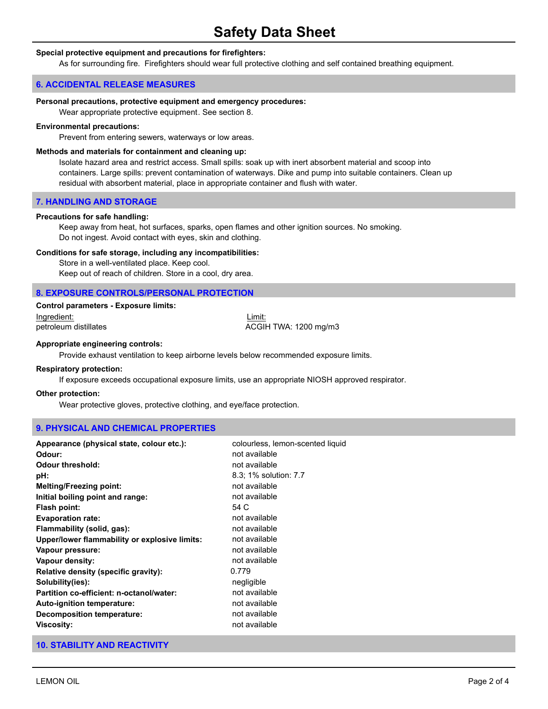### **Special protective equipment and precautions for firefighters:**

As for surrounding fire. Firefighters should wear full protective clothing and self contained breathing equipment.

### **6. ACCIDENTAL RELEASE MEASURES**

#### **Personal precautions, protective equipment and emergency procedures:**

Wear appropriate protective equipment. See section 8.

#### **Environmental precautions:**

Prevent from entering sewers, waterways or low areas.

#### **Methods and materials for containment and cleaning up:**

Isolate hazard area and restrict access. Small spills: soak up with inert absorbent material and scoop into containers. Large spills: prevent contamination of waterways. Dike and pump into suitable containers. Clean up residual with absorbent material, place in appropriate container and flush with water.

### **7. HANDLING AND STORAGE**

#### **Precautions for safe handling:**

Keep away from heat, hot surfaces, sparks, open flames and other ignition sources. No smoking. Do not ingest. Avoid contact with eyes, skin and clothing.

#### **Conditions for safe storage, including any incompatibilities:**

Store in a well-ventilated place. Keep cool. Keep out of reach of children. Store in a cool, dry area.

# **8. EXPOSURE CONTROLS/PERSONAL PROTECTION**

# **Control parameters - Exposure limits:** Ingredient: Limit:

petroleum distillates and the extra and the ACGIH TWA: 1200 mg/m3

## **Appropriate engineering controls:**

Provide exhaust ventilation to keep airborne levels below recommended exposure limits.

#### **Respiratory protection:**

If exposure exceeds occupational exposure limits, use an appropriate NIOSH approved respirator.

#### **Other protection:**

Wear protective gloves, protective clothing, and eye/face protection.

### **9. PHYSICAL AND CHEMICAL PROPERTIES**

| Appearance (physical state, colour etc.):     | colourless, lemon-scented liquid |
|-----------------------------------------------|----------------------------------|
| Odour:                                        | not available                    |
| Odour threshold:                              | not available                    |
| pH:                                           | 8.3; 1% solution: 7.7            |
| <b>Melting/Freezing point:</b>                | not available                    |
| Initial boiling point and range:              | not available                    |
| Flash point:                                  | 54 C                             |
| <b>Evaporation rate:</b>                      | not available                    |
| Flammability (solid, gas):                    | not available                    |
| Upper/lower flammability or explosive limits: | not available                    |
| Vapour pressure:                              | not available                    |
| Vapour density:                               | not available                    |
| Relative density (specific gravity):          | 0.779                            |
| Solubility(ies):                              | negligible                       |
| Partition co-efficient: n-octanol/water:      | not available                    |
| Auto-ignition temperature:                    | not available                    |
| <b>Decomposition temperature:</b>             | not available                    |
| <b>Viscosity:</b>                             | not available                    |
|                                               |                                  |

### **10. STABILITY AND REACTIVITY**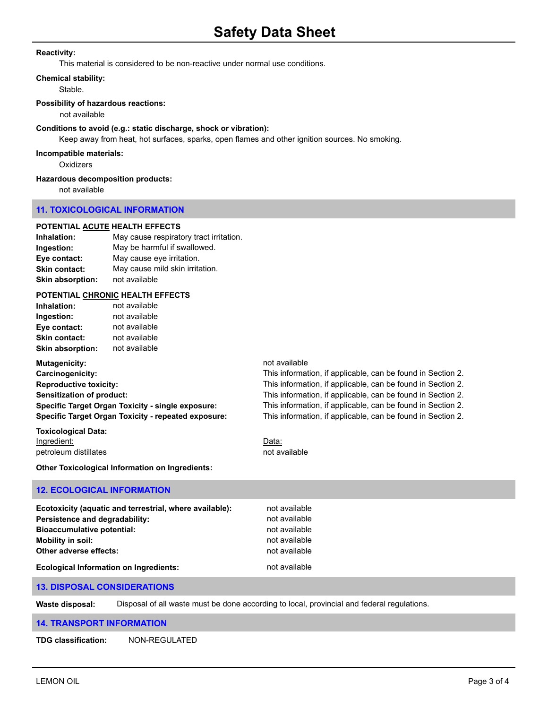### **Reactivity:**

This material is considered to be non-reactive under normal use conditions.

### **Chemical stability:**

Stable.

#### **Possibility of hazardous reactions:**

not available

### **Conditions to avoid (e.g.: static discharge, shock or vibration):**

Keep away from heat, hot surfaces, sparks, open flames and other ignition sources. No smoking.

#### **Incompatible materials:**

**Oxidizers** 

#### **Hazardous decomposition products:**

not available

# **11. TOXICOLOGICAL INFORMATION**

### **POTENTIAL ACUTE HEALTH EFFECTS**

**Inhalation:** May cause respiratory tract irritation. **Ingestion:** May be harmful if swallowed. **Eye contact:** May cause eye irritation. **Skin contact:** May cause mild skin irritation. **Skin absorption:** not available

#### **POTENTIAL CHRONIC HEALTH EFFECTS**

| Inhalation:             | not available |  |
|-------------------------|---------------|--|
| Ingestion:              | not available |  |
| Eye contact:            | not available |  |
| <b>Skin contact:</b>    | not available |  |
| <b>Skin absorption:</b> | not available |  |

### **Mutagenicity: not** available

**Carcinogenicity:** This information, if applicable, can be found in Section 2. **Specific Target Organ Toxicity - repeated exposure:** This information, if applicable, can be found in Section 2.

**Toxicological Data:** Ingredient: Data: petroleum distillates not available not available

**Reproductive toxicity:** This information, if applicable, can be found in Section 2. **Sensitization of product:** This information, if applicable, can be found in Section 2. **Specific Target Organ Toxicity - single exposure:** This information, if applicable, can be found in Section 2.

**Other Toxicological Information on Ingredients:**

# **12. ECOLOGICAL INFORMATION**

| Ecotoxicity (aguatic and terrestrial, where available):<br>Persistence and degradability:<br><b>Bioaccumulative potential:</b> | not available<br>not available<br>not available |
|--------------------------------------------------------------------------------------------------------------------------------|-------------------------------------------------|
| Mobility in soil:                                                                                                              | not available                                   |
| Other adverse effects:                                                                                                         | not available                                   |
| <b>Ecological Information on Ingredients:</b>                                                                                  | not available                                   |

# **13. DISPOSAL CONSIDERATIONS**

**Waste disposal:** Disposal of all waste must be done according to local, provincial and federal regulations.

### **14. TRANSPORT INFORMATION**

**TDG classification:** NON-REGULATED